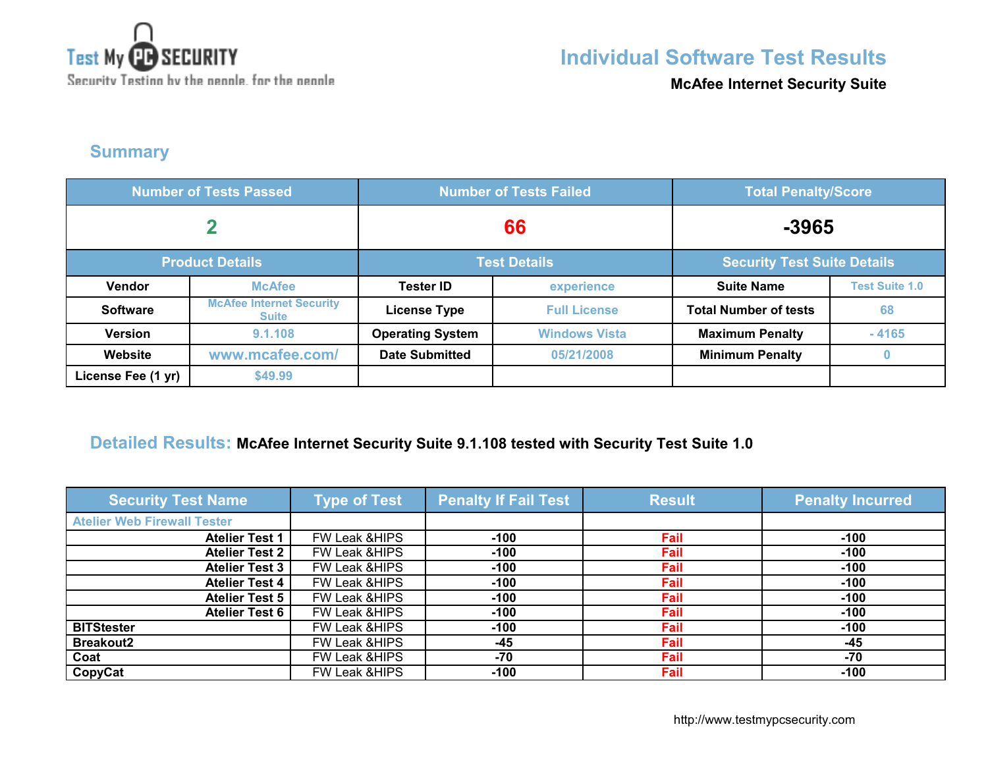

**McAfee Internet Security Suite**

### **Summary**

| <b>Number of Tests Passed</b> |                                                 | <b>Number of Tests Failed</b> |                      | <b>Total Penalty/Score</b>         |                       |
|-------------------------------|-------------------------------------------------|-------------------------------|----------------------|------------------------------------|-----------------------|
|                               |                                                 | 66                            |                      | $-3965$                            |                       |
|                               | <b>Product Details</b>                          | <b>Test Details</b>           |                      | <b>Security Test Suite Details</b> |                       |
| Vendor                        | <b>McAfee</b>                                   | <b>Tester ID</b>              | experience           | <b>Suite Name</b>                  | <b>Test Suite 1.0</b> |
| <b>Software</b>               | <b>McAfee Internet Security</b><br><b>Suite</b> | <b>License Type</b>           | <b>Full License</b>  | <b>Total Number of tests</b>       | 68                    |
| <b>Version</b>                | 9.1.108                                         | <b>Operating System</b>       | <b>Windows Vista</b> | <b>Maximum Penalty</b>             | $-4165$               |
| Website                       | www.mcafee.com/                                 | <b>Date Submitted</b>         | 05/21/2008           | <b>Minimum Penalty</b>             | $\bf{0}$              |
| License Fee (1 yr)            | \$49.99                                         |                               |                      |                                    |                       |

#### **Detailed Results: McAfee Internet Security Suite 9.1.108 tested with Security Test Suite 1.0**

| <b>Security Test Name</b>          | <b>Type of Test</b>      | <b>Penalty If Fail Test</b> | <b>Result</b> | <b>Penalty Incurred</b> |
|------------------------------------|--------------------------|-----------------------------|---------------|-------------------------|
| <b>Atelier Web Firewall Tester</b> |                          |                             |               |                         |
| <b>Atelier Test 1</b>              | FW Leak & HIPS           | $-100$                      | Fail          | $-100$                  |
| <b>Atelier Test 2</b>              | FW Leak & HIPS           | $-100$                      | Fail          | $-100$                  |
| <b>Atelier Test 3</b>              | FW Leak & HIPS           | $-100$                      | Fail          | $-100$                  |
| <b>Atelier Test 4</b>              | FW Leak & HIPS           | $-100$                      | Fail          | $-100$                  |
| <b>Atelier Test 5</b>              | FW Leak & HIPS           | $-100$                      | Fail          | $-100$                  |
| <b>Atelier Test 6</b>              | FW Leak & HIPS           | $-100$                      | Fail          | $-100$                  |
| <b>BITStester</b>                  | <b>FW Leak &amp;HIPS</b> | $-100$                      | Fail          | $-100$                  |
| <b>Breakout2</b>                   | FW Leak & HIPS           | $-45$                       | Fail          | $-45$                   |
| Coat                               | <b>FW Leak &amp;HIPS</b> | -70                         | Fail          | $-70$                   |
| CopyCat                            | FW Leak & HIPS           | $-100$                      | Fail          | $-100$                  |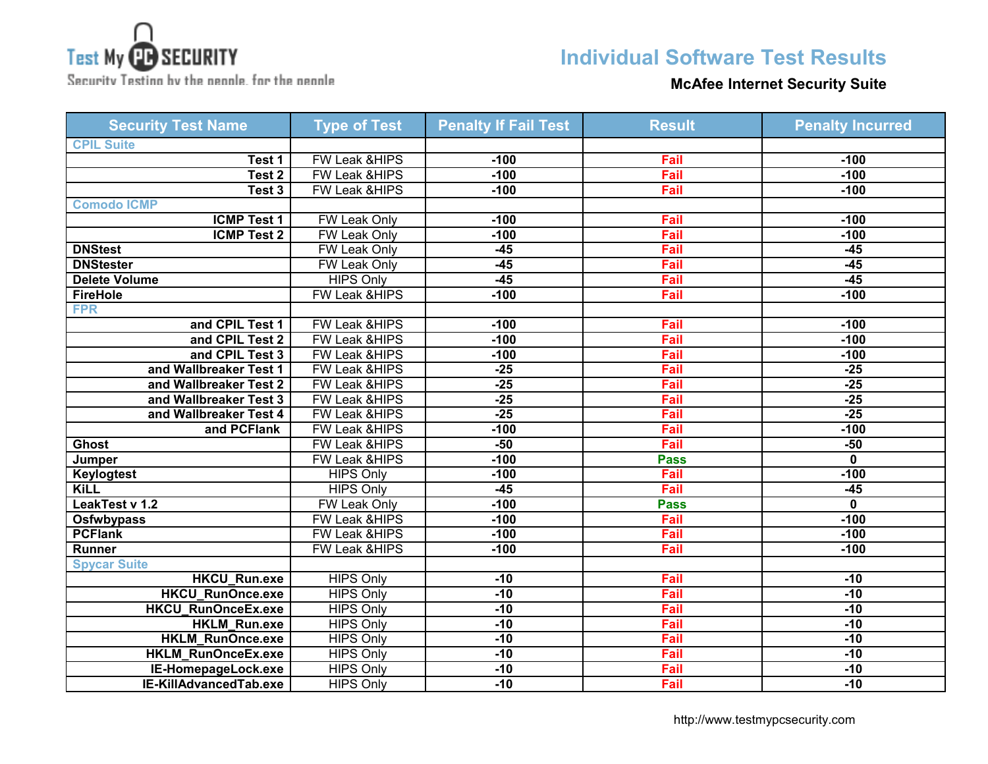

Security Testing by the neagle, for the neagle

## **Individual Software Test Results**

### **McAfee Internet Security Suite**

| <b>Security Test Name</b> | <b>Type of Test</b>      | <b>Penalty If Fail Test</b> | <b>Result</b> | <b>Penalty Incurred</b> |
|---------------------------|--------------------------|-----------------------------|---------------|-------------------------|
| <b>CPIL Suite</b>         |                          |                             |               |                         |
| Test 1                    | <b>FW Leak &amp;HIPS</b> | $-100$                      | Fail          | $-100$                  |
| Test <sub>2</sub>         | <b>FW Leak &amp;HIPS</b> | $-100$                      | Fail          | $-100$                  |
| Test 3                    | FW Leak &HIPS            | $-100$                      | Fail          | $-100$                  |
| <b>Comodo ICMP</b>        |                          |                             |               |                         |
| <b>ICMP Test 1</b>        | <b>FW Leak Only</b>      | $-100$                      | Fail          | $-100$                  |
| <b>ICMP Test 2</b>        | <b>FW Leak Only</b>      | $-100$                      | Fail          | $-100$                  |
| <b>DNStest</b>            | FW Leak Only             | $-45$                       | Fail          | $-45$                   |
| <b>DNStester</b>          | <b>FW Leak Only</b>      | $-45$                       | Fail          | $-45$                   |
| <b>Delete Volume</b>      | <b>HIPS Only</b>         | $-45$                       | Fail          | $-45$                   |
| <b>FireHole</b>           | <b>FW Leak &amp;HIPS</b> | $-100$                      | Fail          | $-100$                  |
| <b>FPR</b>                |                          |                             |               |                         |
| and CPIL Test 1           | FW Leak &HIPS            | $-100$                      | Fail          | $-100$                  |
| and CPIL Test 2           | FW Leak &HIPS            | $-100$                      | Fail          | $-100$                  |
| and CPIL Test 3           | <b>FW Leak &amp;HIPS</b> | $-100$                      | Fail          | $-100$                  |
| and Wallbreaker Test 1    | FW Leak &HIPS            | $-25$                       | Fail          | $-25$                   |
| and Wallbreaker Test 2    | FW Leak &HIPS            | $-25$                       | Fail          | $-25$                   |
| and Wallbreaker Test 3    | <b>FW Leak &amp;HIPS</b> | $-25$                       | Fail          | $-25$                   |
| and Wallbreaker Test 4    | FW Leak &HIPS            | $-25$                       | Fail          | $-25$                   |
| and PCFlank               | FW Leak &HIPS            | $-100$                      | Fail          | $-100$                  |
| <b>Ghost</b>              | <b>FW Leak &amp;HIPS</b> | $-50$                       | Fail          | $-50$                   |
| Jumper                    | <b>FW Leak &amp;HIPS</b> | $-100$                      | <b>Pass</b>   | 0                       |
| <b>Keylogtest</b>         | <b>HIPS Only</b>         | $-100$                      | Fail          | $-100$                  |
| <b>KiLL</b>               | <b>HIPS Only</b>         | $-45$                       | Fail          | $-45$                   |
| LeakTest v 1.2            | <b>FW Leak Only</b>      | $-100$                      | <b>Pass</b>   | $\mathbf 0$             |
| <b>Osfwbypass</b>         | FW Leak &HIPS            | $-100$                      | Fail          | $-100$                  |
| <b>PCFlank</b>            | <b>FW Leak &amp;HIPS</b> | $-100$                      | Fail          | $-100$                  |
| Runner                    | FW Leak &HIPS            | $-100$                      | Fail          | $-100$                  |
| <b>Spycar Suite</b>       |                          |                             |               |                         |
| <b>HKCU_Run.exe</b>       | <b>HIPS Only</b>         | $-10$                       | Fail          | $-10$                   |
| <b>HKCU RunOnce.exe</b>   | <b>HIPS Only</b>         | $-10$                       | Fail          | $-10$                   |
| <b>HKCU_RunOnceEx.exe</b> | <b>HIPS Only</b>         | $-10$                       | Fail          | $-10$                   |
| <b>HKLM_Run.exe</b>       | <b>HIPS Only</b>         | $-10$                       | Fail          | $-10$                   |
| <b>HKLM RunOnce.exe</b>   | <b>HIPS Only</b>         | $-10$                       | Fail          | $-10$                   |
| <b>HKLM_RunOnceEx.exe</b> | <b>HIPS Only</b>         | $-10$                       | Fail          | $-10$                   |
| IE-HomepageLock.exe       | <b>HIPS Only</b>         | $-10$                       | Fail          | $-10$                   |
| IE-KillAdvancedTab.exe    | <b>HIPS Only</b>         | $-10$                       | Fail          | $-10$                   |